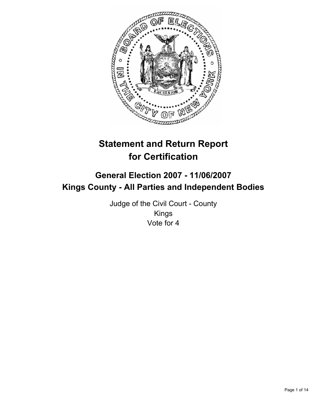

# **Statement and Return Report for Certification**

# **General Election 2007 - 11/06/2007 Kings County - All Parties and Independent Bodies**

Judge of the Civil Court - County Kings Vote for 4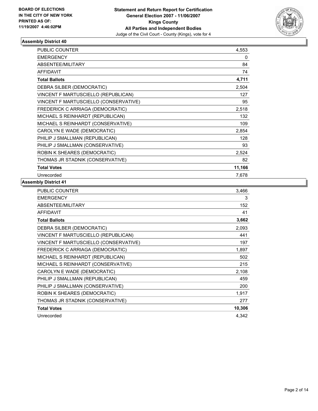

| PUBLIC COUNTER                        | 4,553  |  |
|---------------------------------------|--------|--|
| <b>EMERGENCY</b>                      | 0      |  |
| <b>ABSENTEE/MILITARY</b>              | 84     |  |
| <b>AFFIDAVIT</b>                      | 74     |  |
| <b>Total Ballots</b>                  | 4,711  |  |
| DEBRA SILBER (DEMOCRATIC)             | 2,504  |  |
| VINCENT F MARTUSCIELLO (REPUBLICAN)   | 127    |  |
| VINCENT F MARTUSCIELLO (CONSERVATIVE) | 95     |  |
| FREDERICK C ARRIAGA (DEMOCRATIC)      | 2,518  |  |
| MICHAEL S REINHARDT (REPUBLICAN)      | 132    |  |
| MICHAEL S REINHARDT (CONSERVATIVE)    | 109    |  |
| CAROLYN E WADE (DEMOCRATIC)           | 2,854  |  |
| PHILIP J SMALLMAN (REPUBLICAN)        | 128    |  |
| PHILIP J SMALLMAN (CONSERVATIVE)      | 93     |  |
| ROBIN K SHEARES (DEMOCRATIC)          | 2,524  |  |
| THOMAS JR STADNIK (CONSERVATIVE)      | 82     |  |
| <b>Total Votes</b>                    | 11,166 |  |
| Unrecorded                            | 7,678  |  |

| PUBLIC COUNTER                        | 3,466  |
|---------------------------------------|--------|
| <b>EMERGENCY</b>                      | 3      |
| ABSENTEE/MILITARY                     | 152    |
| <b>AFFIDAVIT</b>                      | 41     |
| <b>Total Ballots</b>                  | 3,662  |
| DEBRA SILBER (DEMOCRATIC)             | 2,093  |
| VINCENT F MARTUSCIELLO (REPUBLICAN)   | 441    |
| VINCENT F MARTUSCIELLO (CONSERVATIVE) | 197    |
| FREDERICK C ARRIAGA (DEMOCRATIC)      | 1,897  |
| MICHAEL S REINHARDT (REPUBLICAN)      | 502    |
| MICHAEL S REINHARDT (CONSERVATIVE)    | 215    |
| CAROLYN E WADE (DEMOCRATIC)           | 2,108  |
| PHILIP J SMALLMAN (REPUBLICAN)        | 459    |
| PHILIP J SMALLMAN (CONSERVATIVE)      | 200    |
| ROBIN K SHEARES (DEMOCRATIC)          | 1,917  |
| THOMAS JR STADNIK (CONSERVATIVE)      | 277    |
| <b>Total Votes</b>                    | 10,306 |
| Unrecorded                            | 4,342  |
|                                       |        |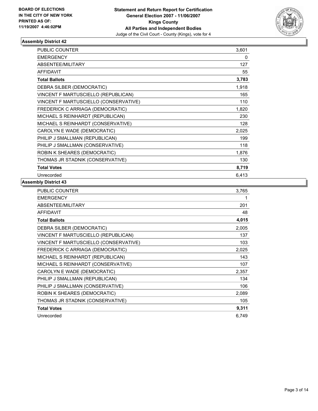

| PUBLIC COUNTER                        | 3,601 |
|---------------------------------------|-------|
| <b>EMERGENCY</b>                      | 0     |
| ABSENTEE/MILITARY                     | 127   |
| <b>AFFIDAVIT</b>                      | 55    |
| <b>Total Ballots</b>                  | 3,783 |
| DEBRA SILBER (DEMOCRATIC)             | 1,918 |
| VINCENT F MARTUSCIELLO (REPUBLICAN)   | 165   |
| VINCENT F MARTUSCIELLO (CONSERVATIVE) | 110   |
| FREDERICK C ARRIAGA (DEMOCRATIC)      | 1,820 |
| MICHAEL S REINHARDT (REPUBLICAN)      | 230   |
| MICHAEL S REINHARDT (CONSERVATIVE)    | 128   |
| CAROLYN E WADE (DEMOCRATIC)           | 2,025 |
| PHILIP J SMALLMAN (REPUBLICAN)        | 199   |
| PHILIP J SMALLMAN (CONSERVATIVE)      | 118   |
| ROBIN K SHEARES (DEMOCRATIC)          | 1,876 |
| THOMAS JR STADNIK (CONSERVATIVE)      | 130   |
| <b>Total Votes</b>                    | 8,719 |
| Unrecorded                            | 6,413 |

| <b>PUBLIC COUNTER</b>                 | 3,765 |
|---------------------------------------|-------|
| <b>EMERGENCY</b>                      |       |
| ABSENTEE/MILITARY                     | 201   |
| <b>AFFIDAVIT</b>                      | 48    |
| <b>Total Ballots</b>                  | 4,015 |
| DEBRA SILBER (DEMOCRATIC)             | 2,005 |
| VINCENT F MARTUSCIELLO (REPUBLICAN)   | 137   |
| VINCENT F MARTUSCIELLO (CONSERVATIVE) | 103   |
| FREDERICK C ARRIAGA (DEMOCRATIC)      | 2,025 |
| MICHAEL S REINHARDT (REPUBLICAN)      | 143   |
| MICHAEL S REINHARDT (CONSERVATIVE)    | 107   |
| CAROLYN E WADE (DEMOCRATIC)           | 2,357 |
| PHILIP J SMALLMAN (REPUBLICAN)        | 134   |
| PHILIP J SMALLMAN (CONSERVATIVE)      | 106   |
| ROBIN K SHEARES (DEMOCRATIC)          | 2,089 |
| THOMAS JR STADNIK (CONSERVATIVE)      | 105   |
| <b>Total Votes</b>                    | 9,311 |
| Unrecorded                            | 6,749 |
|                                       |       |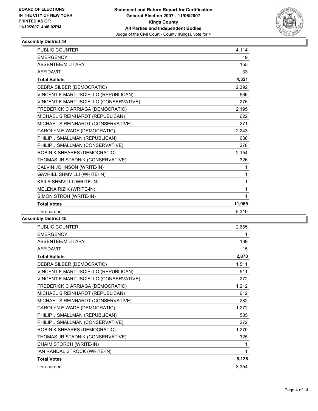

| <b>PUBLIC COUNTER</b>                 | 4,114  |  |
|---------------------------------------|--------|--|
| <b>EMERGENCY</b>                      | 19     |  |
| ABSENTEE/MILITARY                     | 155    |  |
| <b>AFFIDAVIT</b>                      | 33     |  |
| <b>Total Ballots</b>                  | 4,321  |  |
| DEBRA SILBER (DEMOCRATIC)             | 2,392  |  |
| VINCENT F MARTUSCIELLO (REPUBLICAN)   | 566    |  |
| VINCENT F MARTUSCIELLO (CONSERVATIVE) | 275    |  |
| FREDERICK C ARRIAGA (DEMOCRATIC)      | 2.195  |  |
| MICHAEL S REINHARDT (REPUBLICAN)      | 622    |  |
| MICHAEL S REINHARDT (CONSERVATIVE)    | 271    |  |
| CAROLYN E WADE (DEMOCRATIC)           | 2,243  |  |
| PHILIP J SMALLMAN (REPUBLICAN)        | 638    |  |
| PHILIP J SMALLMAN (CONSERVATIVE)      | 278    |  |
| ROBIN K SHEARES (DEMOCRATIC)          | 2,154  |  |
| THOMAS JR STADNIK (CONSERVATIVE)      | 326    |  |
| CALVIN JOHNSON (WRITE-IN)             | 1      |  |
| <b>GAVRIEL SHMVILLI (WRITE-IN)</b>    | 1      |  |
| KAILA SHMVILLI (WRITE-IN)             | 1      |  |
| MELENA RIZIK (WRITE-IN)               | 1      |  |
| SIMON STROH (WRITE-IN)                |        |  |
| <b>Total Votes</b>                    | 11,965 |  |
| Unrecorded                            | 5,319  |  |

| PUBLIC COUNTER                        | 2,665 |
|---------------------------------------|-------|
| <b>EMERGENCY</b>                      |       |
| ABSENTEE/MILITARY                     | 189   |
| <b>AFFIDAVIT</b>                      | 15    |
| <b>Total Ballots</b>                  | 2,870 |
| DEBRA SILBER (DEMOCRATIC)             | 1,511 |
| VINCENT F MARTUSCIELLO (REPUBLICAN)   | 511   |
| VINCENT F MARTUSCIELLO (CONSERVATIVE) | 272   |
| FREDERICK C ARRIAGA (DEMOCRATIC)      | 1,212 |
| MICHAEL S REINHARDT (REPUBLICAN)      | 612   |
| MICHAEL S REINHARDT (CONSERVATIVE)    | 282   |
| CAROLYN E WADE (DEMOCRATIC)           | 1,272 |
| PHILIP J SMALLMAN (REPUBLICAN)        | 585   |
| PHILIP J SMALLMAN (CONSERVATIVE)      | 272   |
| ROBIN K SHEARES (DEMOCRATIC)          | 1,270 |
| THOMAS JR STADNIK (CONSERVATIVE)      | 325   |
| CHAIM STORCH (WRITE-IN)               | 1     |
| IAN RANDAL STROCK (WRITE-IN)          | 1     |
| <b>Total Votes</b>                    | 8,126 |
| Unrecorded                            | 3,354 |
|                                       |       |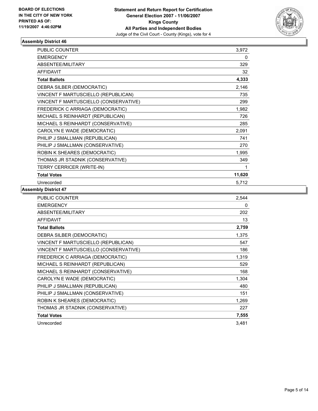

| PUBLIC COUNTER                        | 3,972  |  |
|---------------------------------------|--------|--|
| <b>EMERGENCY</b>                      | 0      |  |
| ABSENTEE/MILITARY                     | 329    |  |
| <b>AFFIDAVIT</b>                      | 32     |  |
| <b>Total Ballots</b>                  | 4,333  |  |
| DEBRA SILBER (DEMOCRATIC)             | 2,146  |  |
| VINCENT F MARTUSCIELLO (REPUBLICAN)   | 735    |  |
| VINCENT F MARTUSCIELLO (CONSERVATIVE) | 299    |  |
| FREDERICK C ARRIAGA (DEMOCRATIC)      | 1,982  |  |
| MICHAEL S REINHARDT (REPUBLICAN)      | 726    |  |
| MICHAEL S REINHARDT (CONSERVATIVE)    | 285    |  |
| CAROLYN E WADE (DEMOCRATIC)           | 2,091  |  |
| PHILIP J SMALLMAN (REPUBLICAN)        | 741    |  |
| PHILIP J SMALLMAN (CONSERVATIVE)      | 270    |  |
| ROBIN K SHEARES (DEMOCRATIC)          | 1,995  |  |
| THOMAS JR STADNIK (CONSERVATIVE)      | 349    |  |
| TERRY CERRICER (WRITE-IN)             |        |  |
| <b>Total Votes</b>                    | 11,620 |  |
| Unrecorded                            | 5,712  |  |

| <b>PUBLIC COUNTER</b>                 | 2,544 |
|---------------------------------------|-------|
| <b>EMERGENCY</b>                      | 0     |
| ABSENTEE/MILITARY                     | 202   |
| <b>AFFIDAVIT</b>                      | 13    |
| <b>Total Ballots</b>                  | 2,759 |
| DEBRA SILBER (DEMOCRATIC)             | 1,375 |
| VINCENT F MARTUSCIELLO (REPUBLICAN)   | 547   |
| VINCENT F MARTUSCIELLO (CONSERVATIVE) | 186   |
| FREDERICK C ARRIAGA (DEMOCRATIC)      | 1,319 |
| MICHAEL S REINHARDT (REPUBLICAN)      | 529   |
| MICHAEL S REINHARDT (CONSERVATIVE)    | 168   |
| CAROLYN E WADE (DEMOCRATIC)           | 1,304 |
| PHILIP J SMALLMAN (REPUBLICAN)        | 480   |
| PHILIP J SMALLMAN (CONSERVATIVE)      | 151   |
| ROBIN K SHEARES (DEMOCRATIC)          | 1,269 |
| THOMAS JR STADNIK (CONSERVATIVE)      | 227   |
| <b>Total Votes</b>                    | 7,555 |
| Unrecorded                            | 3,481 |
|                                       |       |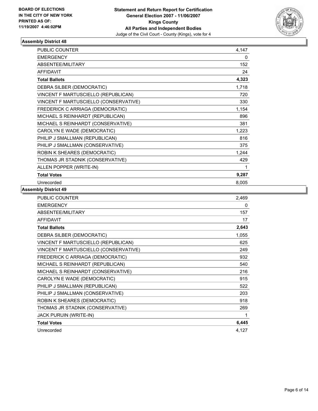

| PUBLIC COUNTER                        | 4,147 |
|---------------------------------------|-------|
| <b>EMERGENCY</b>                      | 0     |
| ABSENTEE/MILITARY                     | 152   |
| <b>AFFIDAVIT</b>                      | 24    |
| <b>Total Ballots</b>                  | 4,323 |
| DEBRA SILBER (DEMOCRATIC)             | 1,718 |
| VINCENT F MARTUSCIELLO (REPUBLICAN)   | 720   |
| VINCENT F MARTUSCIELLO (CONSERVATIVE) | 330   |
| FREDERICK C ARRIAGA (DEMOCRATIC)      | 1,154 |
| MICHAEL S REINHARDT (REPUBLICAN)      | 896   |
| MICHAEL S REINHARDT (CONSERVATIVE)    | 381   |
| CAROLYN E WADE (DEMOCRATIC)           | 1,223 |
| PHILIP J SMALLMAN (REPUBLICAN)        | 816   |
| PHILIP J SMALLMAN (CONSERVATIVE)      | 375   |
| ROBIN K SHEARES (DEMOCRATIC)          | 1,244 |
| THOMAS JR STADNIK (CONSERVATIVE)      | 429   |
| ALLEN POPPER (WRITE-IN)               |       |
| <b>Total Votes</b>                    | 9,287 |
| Unrecorded                            | 8,005 |

| <b>PUBLIC COUNTER</b>                 | 2,469 |
|---------------------------------------|-------|
| <b>EMERGENCY</b>                      | 0     |
| ABSENTEE/MILITARY                     | 157   |
| <b>AFFIDAVIT</b>                      | 17    |
| <b>Total Ballots</b>                  | 2,643 |
| DEBRA SILBER (DEMOCRATIC)             | 1,055 |
| VINCENT F MARTUSCIELLO (REPUBLICAN)   | 625   |
| VINCENT F MARTUSCIELLO (CONSERVATIVE) | 249   |
| FREDERICK C ARRIAGA (DEMOCRATIC)      | 932   |
| MICHAEL S REINHARDT (REPUBLICAN)      | 540   |
| MICHAEL S REINHARDT (CONSERVATIVE)    | 216   |
| CAROLYN E WADE (DEMOCRATIC)           | 915   |
| PHILIP J SMALLMAN (REPUBLICAN)        | 522   |
| PHILIP J SMALLMAN (CONSERVATIVE)      | 203   |
| ROBIN K SHEARES (DEMOCRATIC)          | 918   |
| THOMAS JR STADNIK (CONSERVATIVE)      | 269   |
| JACK PURUIN (WRITE-IN)                |       |
| <b>Total Votes</b>                    | 6,445 |
| Unrecorded                            | 4,127 |
|                                       |       |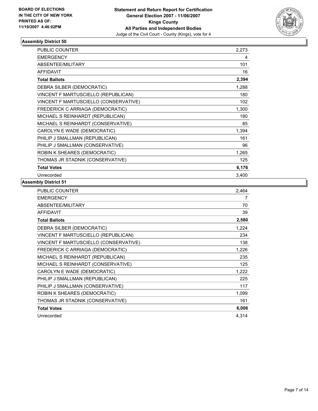

| PUBLIC COUNTER                        | 2,273 |
|---------------------------------------|-------|
| <b>EMERGENCY</b>                      | 4     |
| ABSENTEE/MILITARY                     | 101   |
| <b>AFFIDAVIT</b>                      | 16    |
| <b>Total Ballots</b>                  | 2,394 |
| DEBRA SILBER (DEMOCRATIC)             | 1,288 |
| VINCENT F MARTUSCIELLO (REPUBLICAN)   | 180   |
| VINCENT F MARTUSCIELLO (CONSERVATIVE) | 102   |
| FREDERICK C ARRIAGA (DEMOCRATIC)      | 1,300 |
| MICHAEL S REINHARDT (REPUBLICAN)      | 180   |
| MICHAEL S REINHARDT (CONSERVATIVE)    | 85    |
| CAROLYN E WADE (DEMOCRATIC)           | 1,394 |
| PHILIP J SMALLMAN (REPUBLICAN)        | 161   |
| PHILIP J SMALLMAN (CONSERVATIVE)      | 96    |
| ROBIN K SHEARES (DEMOCRATIC)          | 1,265 |
| THOMAS JR STADNIK (CONSERVATIVE)      | 125   |
| <b>Total Votes</b>                    | 6,176 |
| Unrecorded                            | 3,400 |

| PUBLIC COUNTER                        | 2,464 |
|---------------------------------------|-------|
| <b>EMERGENCY</b>                      | 7     |
| ABSENTEE/MILITARY                     | 70    |
| <b>AFFIDAVIT</b>                      | 39    |
| <b>Total Ballots</b>                  | 2,580 |
| DEBRA SILBER (DEMOCRATIC)             | 1,224 |
| VINCENT F MARTUSCIELLO (REPUBLICAN)   | 234   |
| VINCENT F MARTUSCIELLO (CONSERVATIVE) | 138   |
| FREDERICK C ARRIAGA (DEMOCRATIC)      | 1,226 |
| MICHAEL S REINHARDT (REPUBLICAN)      | 235   |
| MICHAEL S REINHARDT (CONSERVATIVE)    | 125   |
| CAROLYN E WADE (DEMOCRATIC)           | 1,222 |
| PHILIP J SMALLMAN (REPUBLICAN)        | 225   |
| PHILIP J SMALLMAN (CONSERVATIVE)      | 117   |
| ROBIN K SHEARES (DEMOCRATIC)          | 1,099 |
| THOMAS JR STADNIK (CONSERVATIVE)      | 161   |
| <b>Total Votes</b>                    | 6,006 |
| Unrecorded                            | 4,314 |
|                                       |       |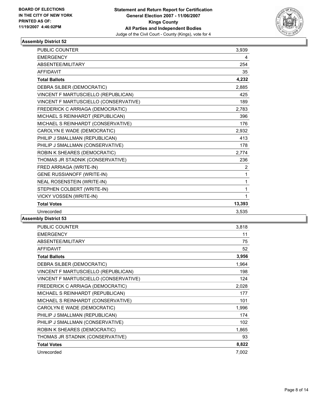

| <b>PUBLIC COUNTER</b>                 | 3,939          |
|---------------------------------------|----------------|
| <b>EMERGENCY</b>                      | 4              |
| ABSENTEE/MILITARY                     | 254            |
| <b>AFFIDAVIT</b>                      | 35             |
| <b>Total Ballots</b>                  | 4,232          |
| DEBRA SILBER (DEMOCRATIC)             | 2,885          |
| VINCENT F MARTUSCIELLO (REPUBLICAN)   | 425            |
| VINCENT F MARTUSCIELLO (CONSERVATIVE) | 189            |
| FREDERICK C ARRIAGA (DEMOCRATIC)      | 2,783          |
| MICHAEL S REINHARDT (REPUBLICAN)      | 396            |
| MICHAEL S REINHARDT (CONSERVATIVE)    | 176            |
| CAROLYN E WADE (DEMOCRATIC)           | 2,932          |
| PHILIP J SMALLMAN (REPUBLICAN)        | 413            |
| PHILIP J SMALLMAN (CONSERVATIVE)      | 178            |
| ROBIN K SHEARES (DEMOCRATIC)          | 2,774          |
| THOMAS JR STADNIK (CONSERVATIVE)      | 236            |
| FRED ARRIAGA (WRITE-IN)               | $\overline{2}$ |
| <b>GENE RUSSIANOFF (WRITE-IN)</b>     | 1              |
| NEAL ROSENSTEIN (WRITE-IN)            | 1              |
| STEPHEN COLBERT (WRITE-IN)            | 1              |
| VICKY VOSSEN (WRITE-IN)               | 1              |
| <b>Total Votes</b>                    | 13,393         |
| Unrecorded                            | 3,535          |

| <b>PUBLIC COUNTER</b>                 | 3,818 |
|---------------------------------------|-------|
| <b>EMERGENCY</b>                      | 11    |
| ABSENTEE/MILITARY                     | 75    |
| <b>AFFIDAVIT</b>                      | 52    |
| <b>Total Ballots</b>                  | 3,956 |
| DEBRA SILBER (DEMOCRATIC)             | 1,964 |
| VINCENT F MARTUSCIELLO (REPUBLICAN)   | 198   |
| VINCENT F MARTUSCIELLO (CONSERVATIVE) | 124   |
| FREDERICK C ARRIAGA (DEMOCRATIC)      | 2,028 |
| MICHAEL S REINHARDT (REPUBLICAN)      | 177   |
| MICHAEL S REINHARDT (CONSERVATIVE)    | 101   |
| CAROLYN E WADE (DEMOCRATIC)           | 1,996 |
| PHILIP J SMALLMAN (REPUBLICAN)        | 174   |
| PHILIP J SMALLMAN (CONSERVATIVE)      | 102   |
| ROBIN K SHEARES (DEMOCRATIC)          | 1,865 |
| THOMAS JR STADNIK (CONSERVATIVE)      | 93    |
| <b>Total Votes</b>                    | 8,822 |
| Unrecorded                            | 7,002 |
|                                       |       |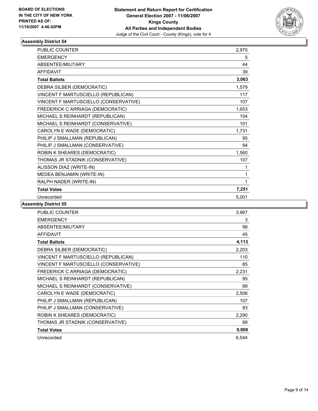

| PUBLIC COUNTER                        | 2,975 |
|---------------------------------------|-------|
| <b>EMERGENCY</b>                      | 5     |
| ABSENTEE/MILITARY                     | 44    |
| <b>AFFIDAVIT</b>                      | 39    |
| <b>Total Ballots</b>                  | 3,063 |
| DEBRA SILBER (DEMOCRATIC)             | 1,579 |
| VINCENT F MARTUSCIELLO (REPUBLICAN)   | 117   |
| VINCENT F MARTUSCIELLO (CONSERVATIVE) | 107   |
| FREDERICK C ARRIAGA (DEMOCRATIC)      | 1,653 |
| MICHAEL S REINHARDT (REPUBLICAN)      | 104   |
| MICHAEL S REINHARDT (CONSERVATIVE)    | 101   |
| CAROLYN E WADE (DEMOCRATIC)           | 1,731 |
| PHILIP J SMALLMAN (REPUBLICAN)        | 95    |
| PHILIP J SMALLMAN (CONSERVATIVE)      | 94    |
| ROBIN K SHEARES (DEMOCRATIC)          | 1,560 |
| THOMAS JR STADNIK (CONSERVATIVE)      | 107   |
| ALISSON DIAZ (WRITE-IN)               |       |
| MEDEA BENJAMIN (WRITE-IN)             | 1     |
| RALPH NADER (WRITE-IN)                | 1     |
| <b>Total Votes</b>                    | 7,251 |
| Unrecorded                            | 5,001 |

| PUBLIC COUNTER                        | 3,967 |
|---------------------------------------|-------|
| <b>EMERGENCY</b>                      | 3     |
| ABSENTEE/MILITARY                     | 98    |
| <b>AFFIDAVIT</b>                      | 45    |
| <b>Total Ballots</b>                  | 4,113 |
| DEBRA SILBER (DEMOCRATIC)             | 2,203 |
| VINCENT F MARTUSCIELLO (REPUBLICAN)   | 110   |
| VINCENT F MARTUSCIELLO (CONSERVATIVE) | 85    |
| FREDERICK C ARRIAGA (DEMOCRATIC)      | 2,231 |
| MICHAEL S REINHARDT (REPUBLICAN)      | 95    |
| MICHAEL S REINHARDT (CONSERVATIVE)    | 99    |
| CAROLYN E WADE (DEMOCRATIC)           | 2,506 |
| PHILIP J SMALLMAN (REPUBLICAN)        | 107   |
| PHILIP J SMALLMAN (CONSERVATIVE)      | 93    |
| ROBIN K SHEARES (DEMOCRATIC)          | 2,290 |
| THOMAS JR STADNIK (CONSERVATIVE)      | 89    |
| <b>Total Votes</b>                    | 9,908 |
| Unrecorded                            | 6,544 |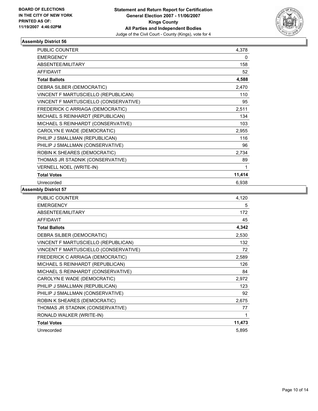

| <b>PUBLIC COUNTER</b>                 | 4,378  |  |
|---------------------------------------|--------|--|
| <b>EMERGENCY</b>                      | 0      |  |
| ABSENTEE/MILITARY                     | 158    |  |
| <b>AFFIDAVIT</b>                      | 52     |  |
| <b>Total Ballots</b>                  | 4,588  |  |
| DEBRA SILBER (DEMOCRATIC)             | 2,470  |  |
| VINCENT F MARTUSCIELLO (REPUBLICAN)   | 110    |  |
| VINCENT F MARTUSCIELLO (CONSERVATIVE) | 95     |  |
| FREDERICK C ARRIAGA (DEMOCRATIC)      | 2,511  |  |
| MICHAEL S REINHARDT (REPUBLICAN)      | 134    |  |
| MICHAEL S REINHARDT (CONSERVATIVE)    | 103    |  |
| CAROLYN E WADE (DEMOCRATIC)           | 2,955  |  |
| PHILIP J SMALLMAN (REPUBLICAN)        | 116    |  |
| PHILIP J SMALLMAN (CONSERVATIVE)      | 96     |  |
| ROBIN K SHEARES (DEMOCRATIC)          | 2,734  |  |
| THOMAS JR STADNIK (CONSERVATIVE)      | 89     |  |
| <b>VERNELL NOEL (WRITE-IN)</b>        |        |  |
| <b>Total Votes</b>                    | 11,414 |  |
| Unrecorded                            | 6,938  |  |

| <b>PUBLIC COUNTER</b>                 | 4,120  |
|---------------------------------------|--------|
| <b>EMERGENCY</b>                      | 5      |
| ABSENTEE/MILITARY                     | 172    |
| <b>AFFIDAVIT</b>                      | 45     |
| <b>Total Ballots</b>                  | 4,342  |
| DEBRA SILBER (DEMOCRATIC)             | 2,530  |
| VINCENT F MARTUSCIELLO (REPUBLICAN)   | 132    |
| VINCENT F MARTUSCIELLO (CONSERVATIVE) | 72     |
| FREDERICK C ARRIAGA (DEMOCRATIC)      | 2,589  |
| MICHAEL S REINHARDT (REPUBLICAN)      | 126    |
| MICHAEL S REINHARDT (CONSERVATIVE)    | 84     |
| CAROLYN E WADE (DEMOCRATIC)           | 2,972  |
| PHILIP J SMALLMAN (REPUBLICAN)        | 123    |
| PHILIP J SMALLMAN (CONSERVATIVE)      | 92     |
| ROBIN K SHEARES (DEMOCRATIC)          | 2,675  |
| THOMAS JR STADNIK (CONSERVATIVE)      | 77     |
| RONALD WALKER (WRITE-IN)              |        |
| <b>Total Votes</b>                    | 11,473 |
| Unrecorded                            | 5,895  |
|                                       |        |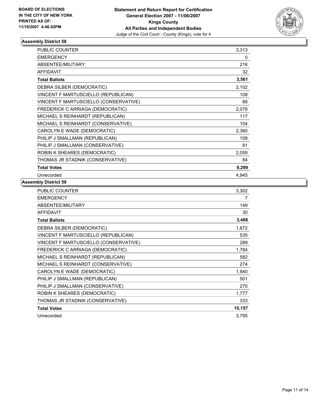

| PUBLIC COUNTER                        | 3,313 |  |
|---------------------------------------|-------|--|
| <b>EMERGENCY</b>                      | 0     |  |
| <b>ABSENTEE/MILITARY</b>              | 216   |  |
| <b>AFFIDAVIT</b>                      | 32    |  |
| <b>Total Ballots</b>                  | 3,561 |  |
| DEBRA SILBER (DEMOCRATIC)             | 2,102 |  |
| VINCENT F MARTUSCIELLO (REPUBLICAN)   | 108   |  |
| VINCENT F MARTUSCIELLO (CONSERVATIVE) | 88    |  |
| FREDERICK C ARRIAGA (DEMOCRATIC)      | 2,078 |  |
| MICHAEL S REINHARDT (REPUBLICAN)      | 117   |  |
| MICHAEL S REINHARDT (CONSERVATIVE)    | 104   |  |
| CAROLYN E WADE (DEMOCRATIC)           | 2,360 |  |
| PHILIP J SMALLMAN (REPUBLICAN)        | 108   |  |
| PHILIP J SMALLMAN (CONSERVATIVE)      | 91    |  |
| ROBIN K SHEARES (DEMOCRATIC)          | 2,059 |  |
| THOMAS JR STADNIK (CONSERVATIVE)      | 84    |  |
| <b>Total Votes</b>                    | 9,299 |  |
| Unrecorded                            | 4.945 |  |

| PUBLIC COUNTER                        | 3,302  |
|---------------------------------------|--------|
| <b>EMERGENCY</b>                      | 7      |
| ABSENTEE/MILITARY                     | 149    |
| <b>AFFIDAVIT</b>                      | 30     |
| <b>Total Ballots</b>                  | 3,488  |
| DEBRA SILBER (DEMOCRATIC)             | 1,872  |
| VINCENT F MARTUSCIELLO (REPUBLICAN)   | 535    |
| VINCENT F MARTUSCIELLO (CONSERVATIVE) | 289    |
| FREDERICK C ARRIAGA (DEMOCRATIC)      | 1,784  |
| MICHAEL S REINHARDT (REPUBLICAN)      | 582    |
| MICHAEL S REINHARDT (CONSERVATIVE)    | 274    |
| CAROLYN E WADE (DEMOCRATIC)           | 1,940  |
| PHILIP J SMALLMAN (REPUBLICAN)        | 501    |
| PHILIP J SMALLMAN (CONSERVATIVE)      | 270    |
| ROBIN K SHEARES (DEMOCRATIC)          | 1,777  |
| THOMAS JR STADNIK (CONSERVATIVE)      | 333    |
| <b>Total Votes</b>                    | 10,157 |
| Unrecorded                            | 3,795  |
|                                       |        |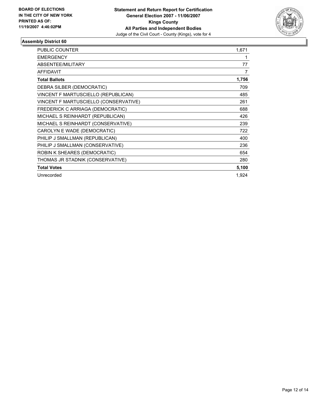

| <b>PUBLIC COUNTER</b>                 | 1,671 |
|---------------------------------------|-------|
| <b>EMERGENCY</b>                      |       |
| ABSENTEE/MILITARY                     | 77    |
| <b>AFFIDAVIT</b>                      | 7     |
| <b>Total Ballots</b>                  | 1,756 |
| DEBRA SILBER (DEMOCRATIC)             | 709   |
| VINCENT F MARTUSCIELLO (REPUBLICAN)   | 485   |
| VINCENT F MARTUSCIELLO (CONSERVATIVE) | 261   |
| FREDERICK C ARRIAGA (DEMOCRATIC)      | 688   |
| MICHAEL S REINHARDT (REPUBLICAN)      | 426   |
| MICHAEL S REINHARDT (CONSERVATIVE)    | 239   |
| CAROLYN E WADE (DEMOCRATIC)           | 722   |
| PHILIP J SMALLMAN (REPUBLICAN)        | 400   |
| PHILIP J SMALLMAN (CONSERVATIVE)      | 236   |
| ROBIN K SHEARES (DEMOCRATIC)          | 654   |
| THOMAS JR STADNIK (CONSERVATIVE)      | 280   |
| <b>Total Votes</b>                    | 5,100 |
| Unrecorded                            | 1,924 |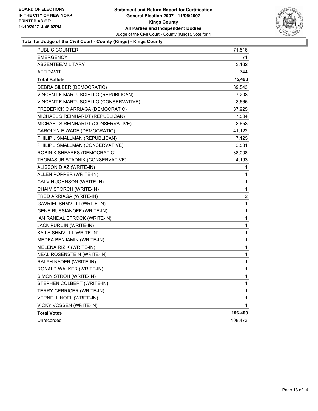

## **Total for Judge of the Civil Court - County (Kings) - Kings County**

| <b>EMERGENCY</b><br>71<br>3,162<br>ABSENTEE/MILITARY<br><b>AFFIDAVIT</b><br>744<br><b>Total Ballots</b><br>DEBRA SILBER (DEMOCRATIC)<br>39,543<br>VINCENT F MARTUSCIELLO (REPUBLICAN)<br>7,208<br>VINCENT F MARTUSCIELLO (CONSERVATIVE)<br>3,666<br>FREDERICK C ARRIAGA (DEMOCRATIC)<br>37,925<br>MICHAEL S REINHARDT (REPUBLICAN)<br>7,504<br>MICHAEL S REINHARDT (CONSERVATIVE)<br>3,653<br>CAROLYN E WADE (DEMOCRATIC)<br>41,122<br>PHILIP J SMALLMAN (REPUBLICAN)<br>7,125<br>3,531<br>PHILIP J SMALLMAN (CONSERVATIVE)<br>ROBIN K SHEARES (DEMOCRATIC)<br>38,008<br>THOMAS JR STADNIK (CONSERVATIVE)<br>ALISSON DIAZ (WRITE-IN)<br>1<br>ALLEN POPPER (WRITE-IN)<br>1<br>CALVIN JOHNSON (WRITE-IN)<br>1<br>$\mathbf{1}$<br>CHAIM STORCH (WRITE-IN)<br>2<br>FRED ARRIAGA (WRITE-IN)<br><b>GAVRIEL SHMVILLI (WRITE-IN)</b><br>$\mathbf{1}$<br>GENE RUSSIANOFF (WRITE-IN)<br>$\mathbf{1}$<br>1<br>IAN RANDAL STROCK (WRITE-IN)<br>JACK PURUIN (WRITE-IN)<br>1<br>1<br>KAILA SHMVILLI (WRITE-IN)<br>1<br>MEDEA BENJAMIN (WRITE-IN)<br>MELENA RIZIK (WRITE-IN)<br>1<br>1<br><b>NEAL ROSENSTEIN (WRITE-IN)</b><br>1<br>RALPH NADER (WRITE-IN)<br>RONALD WALKER (WRITE-IN)<br>1<br>SIMON STROH (WRITE-IN)<br>1<br>STEPHEN COLBERT (WRITE-IN)<br>1<br>TERRY CERRICER (WRITE-IN)<br>1<br>1<br>VERNELL NOEL (WRITE-IN)<br>1<br><b>VICKY VOSSEN (WRITE-IN)</b><br>193,499<br><b>Total Votes</b> | Unrecorded | 108,473 |
|------------------------------------------------------------------------------------------------------------------------------------------------------------------------------------------------------------------------------------------------------------------------------------------------------------------------------------------------------------------------------------------------------------------------------------------------------------------------------------------------------------------------------------------------------------------------------------------------------------------------------------------------------------------------------------------------------------------------------------------------------------------------------------------------------------------------------------------------------------------------------------------------------------------------------------------------------------------------------------------------------------------------------------------------------------------------------------------------------------------------------------------------------------------------------------------------------------------------------------------------------------------------------------------------------------------------------------------------------------------------------------------|------------|---------|
| 75,493<br>4,193                                                                                                                                                                                                                                                                                                                                                                                                                                                                                                                                                                                                                                                                                                                                                                                                                                                                                                                                                                                                                                                                                                                                                                                                                                                                                                                                                                          |            |         |
|                                                                                                                                                                                                                                                                                                                                                                                                                                                                                                                                                                                                                                                                                                                                                                                                                                                                                                                                                                                                                                                                                                                                                                                                                                                                                                                                                                                          |            |         |
|                                                                                                                                                                                                                                                                                                                                                                                                                                                                                                                                                                                                                                                                                                                                                                                                                                                                                                                                                                                                                                                                                                                                                                                                                                                                                                                                                                                          |            |         |
|                                                                                                                                                                                                                                                                                                                                                                                                                                                                                                                                                                                                                                                                                                                                                                                                                                                                                                                                                                                                                                                                                                                                                                                                                                                                                                                                                                                          |            |         |
|                                                                                                                                                                                                                                                                                                                                                                                                                                                                                                                                                                                                                                                                                                                                                                                                                                                                                                                                                                                                                                                                                                                                                                                                                                                                                                                                                                                          |            |         |
|                                                                                                                                                                                                                                                                                                                                                                                                                                                                                                                                                                                                                                                                                                                                                                                                                                                                                                                                                                                                                                                                                                                                                                                                                                                                                                                                                                                          |            |         |
|                                                                                                                                                                                                                                                                                                                                                                                                                                                                                                                                                                                                                                                                                                                                                                                                                                                                                                                                                                                                                                                                                                                                                                                                                                                                                                                                                                                          |            |         |
|                                                                                                                                                                                                                                                                                                                                                                                                                                                                                                                                                                                                                                                                                                                                                                                                                                                                                                                                                                                                                                                                                                                                                                                                                                                                                                                                                                                          |            |         |
|                                                                                                                                                                                                                                                                                                                                                                                                                                                                                                                                                                                                                                                                                                                                                                                                                                                                                                                                                                                                                                                                                                                                                                                                                                                                                                                                                                                          |            |         |
|                                                                                                                                                                                                                                                                                                                                                                                                                                                                                                                                                                                                                                                                                                                                                                                                                                                                                                                                                                                                                                                                                                                                                                                                                                                                                                                                                                                          |            |         |
|                                                                                                                                                                                                                                                                                                                                                                                                                                                                                                                                                                                                                                                                                                                                                                                                                                                                                                                                                                                                                                                                                                                                                                                                                                                                                                                                                                                          |            |         |
|                                                                                                                                                                                                                                                                                                                                                                                                                                                                                                                                                                                                                                                                                                                                                                                                                                                                                                                                                                                                                                                                                                                                                                                                                                                                                                                                                                                          |            |         |
|                                                                                                                                                                                                                                                                                                                                                                                                                                                                                                                                                                                                                                                                                                                                                                                                                                                                                                                                                                                                                                                                                                                                                                                                                                                                                                                                                                                          |            |         |
|                                                                                                                                                                                                                                                                                                                                                                                                                                                                                                                                                                                                                                                                                                                                                                                                                                                                                                                                                                                                                                                                                                                                                                                                                                                                                                                                                                                          |            |         |
|                                                                                                                                                                                                                                                                                                                                                                                                                                                                                                                                                                                                                                                                                                                                                                                                                                                                                                                                                                                                                                                                                                                                                                                                                                                                                                                                                                                          |            |         |
|                                                                                                                                                                                                                                                                                                                                                                                                                                                                                                                                                                                                                                                                                                                                                                                                                                                                                                                                                                                                                                                                                                                                                                                                                                                                                                                                                                                          |            |         |
|                                                                                                                                                                                                                                                                                                                                                                                                                                                                                                                                                                                                                                                                                                                                                                                                                                                                                                                                                                                                                                                                                                                                                                                                                                                                                                                                                                                          |            |         |
|                                                                                                                                                                                                                                                                                                                                                                                                                                                                                                                                                                                                                                                                                                                                                                                                                                                                                                                                                                                                                                                                                                                                                                                                                                                                                                                                                                                          |            |         |
|                                                                                                                                                                                                                                                                                                                                                                                                                                                                                                                                                                                                                                                                                                                                                                                                                                                                                                                                                                                                                                                                                                                                                                                                                                                                                                                                                                                          |            |         |
|                                                                                                                                                                                                                                                                                                                                                                                                                                                                                                                                                                                                                                                                                                                                                                                                                                                                                                                                                                                                                                                                                                                                                                                                                                                                                                                                                                                          |            |         |
|                                                                                                                                                                                                                                                                                                                                                                                                                                                                                                                                                                                                                                                                                                                                                                                                                                                                                                                                                                                                                                                                                                                                                                                                                                                                                                                                                                                          |            |         |
|                                                                                                                                                                                                                                                                                                                                                                                                                                                                                                                                                                                                                                                                                                                                                                                                                                                                                                                                                                                                                                                                                                                                                                                                                                                                                                                                                                                          |            |         |
|                                                                                                                                                                                                                                                                                                                                                                                                                                                                                                                                                                                                                                                                                                                                                                                                                                                                                                                                                                                                                                                                                                                                                                                                                                                                                                                                                                                          |            |         |
|                                                                                                                                                                                                                                                                                                                                                                                                                                                                                                                                                                                                                                                                                                                                                                                                                                                                                                                                                                                                                                                                                                                                                                                                                                                                                                                                                                                          |            |         |
|                                                                                                                                                                                                                                                                                                                                                                                                                                                                                                                                                                                                                                                                                                                                                                                                                                                                                                                                                                                                                                                                                                                                                                                                                                                                                                                                                                                          |            |         |
|                                                                                                                                                                                                                                                                                                                                                                                                                                                                                                                                                                                                                                                                                                                                                                                                                                                                                                                                                                                                                                                                                                                                                                                                                                                                                                                                                                                          |            |         |
|                                                                                                                                                                                                                                                                                                                                                                                                                                                                                                                                                                                                                                                                                                                                                                                                                                                                                                                                                                                                                                                                                                                                                                                                                                                                                                                                                                                          |            |         |
|                                                                                                                                                                                                                                                                                                                                                                                                                                                                                                                                                                                                                                                                                                                                                                                                                                                                                                                                                                                                                                                                                                                                                                                                                                                                                                                                                                                          |            |         |
|                                                                                                                                                                                                                                                                                                                                                                                                                                                                                                                                                                                                                                                                                                                                                                                                                                                                                                                                                                                                                                                                                                                                                                                                                                                                                                                                                                                          |            |         |
|                                                                                                                                                                                                                                                                                                                                                                                                                                                                                                                                                                                                                                                                                                                                                                                                                                                                                                                                                                                                                                                                                                                                                                                                                                                                                                                                                                                          |            |         |
|                                                                                                                                                                                                                                                                                                                                                                                                                                                                                                                                                                                                                                                                                                                                                                                                                                                                                                                                                                                                                                                                                                                                                                                                                                                                                                                                                                                          |            |         |
|                                                                                                                                                                                                                                                                                                                                                                                                                                                                                                                                                                                                                                                                                                                                                                                                                                                                                                                                                                                                                                                                                                                                                                                                                                                                                                                                                                                          |            |         |
|                                                                                                                                                                                                                                                                                                                                                                                                                                                                                                                                                                                                                                                                                                                                                                                                                                                                                                                                                                                                                                                                                                                                                                                                                                                                                                                                                                                          |            |         |
|                                                                                                                                                                                                                                                                                                                                                                                                                                                                                                                                                                                                                                                                                                                                                                                                                                                                                                                                                                                                                                                                                                                                                                                                                                                                                                                                                                                          |            |         |
|                                                                                                                                                                                                                                                                                                                                                                                                                                                                                                                                                                                                                                                                                                                                                                                                                                                                                                                                                                                                                                                                                                                                                                                                                                                                                                                                                                                          |            |         |
| PUBLIC COUNTER<br>71,516                                                                                                                                                                                                                                                                                                                                                                                                                                                                                                                                                                                                                                                                                                                                                                                                                                                                                                                                                                                                                                                                                                                                                                                                                                                                                                                                                                 |            |         |